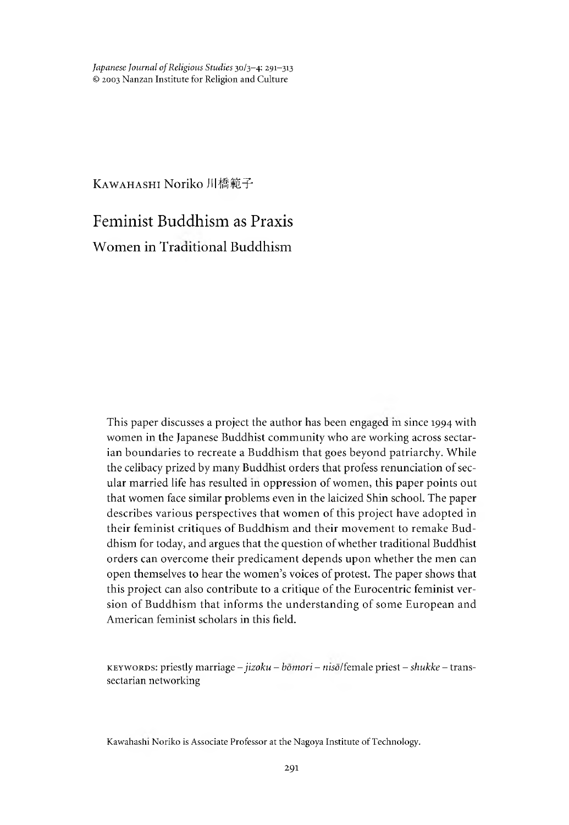*Japanese Journal of Religious Studies* 30/3-4: 291-313 © 2003 Nanzan Institute for Religion and Culture

KAWAHASHI Noriko 川橋範子

# Feminist Buddhism as Praxis Women in Traditional Buddhism

This paper discusses a project the author has been engaged m since 1994 with women in the Japanese Buddhist community who are working across sectarian boundaries to recreate a Buddhism that goes beyond patriarchy. While the celibacy prized by many Buddhist orders that profess renunciation of secular married life has resulted in oppression of women, this paper points out that women face similar problems even in the laicized Shin school. The paper describes various perspectives that women of this project have adopted in their feminist critiques of Buddhism and their movement to remake Buddhism for today, and argues that the question of whether traditional Buddnist orders can overcome their predicament depends upon whether the men can open themselves to hear the women's voices of protest. The paper shows that this project can also contribute to a critique of the Eurocentric feminist version of Buddhism that informs the understanding of some European and American feminist scholars in this field.

k e y w o r iestly m a rriage -  $jizoku - b\bar{o}mori - nis\bar{o}$  / fem ale priest - *shukke* - transsectarian networking

Kawahashi Noriko is Associate Professor at the Nagoya Institute of Technology.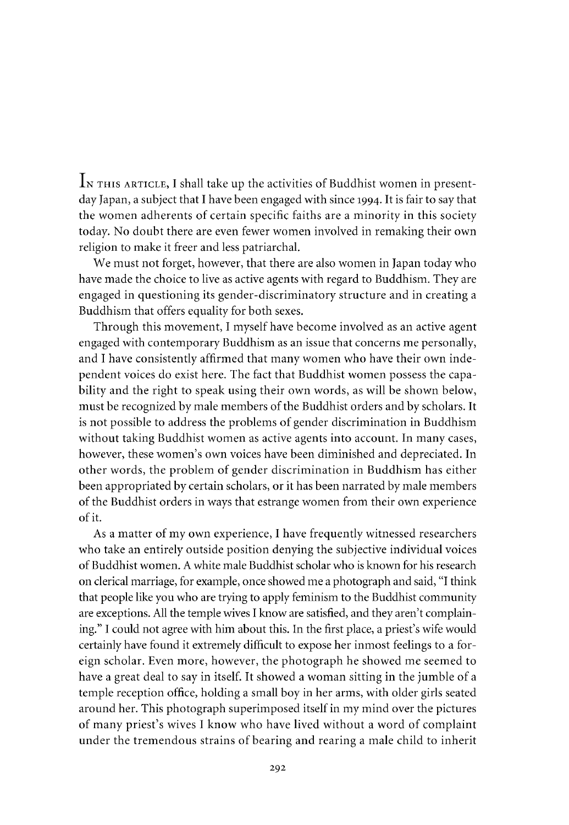$\mathbf{l}$ <sub>N</sub> THIS ARTICLE, I shall take up the activities of Buddhist women in presentday Japan, a subject that I have been engaged with since 1994. It is fair to say that the women adherents of certain specific faiths are a minority in this society today. No doubt there are even fewer women involved in remaking their own religion to make it freer and less patriarchal.

We must not forget, however, that there are also women in Japan today who have made the choice to live as active agents with regard to Buddhism. They are engaged in questioning its gender-discriminatory structure and in creating a Buddhism that offers equality for both sexes.

Through this movement, I myself have become involved as an active agent engaged with contemporary Buddhism as an issue that concerns me personally, and I have consistently affirmed that many women who have their own independent voices do exist here. The fact that Buddhist women possess the capability and the right to speak using their own words, as will be shown below, must be recognized by male members of the Buddhist orders and by scholars. It is not possible to address the problems of gender discrimination in Buddhism without taking Buddhist women as active agents into account. In many cases, however, these women's own voices have been diminished and depreciated. In other words, the problem of gender discrimination in Buddhism has either been appropriated by certain scholars, or it has been narrated by male members of the Buddhist orders in ways that estrange women from their own experience of it.

As a matter of my own experience, I have frequently witnessed researchers who take an entirely outside position denying the subjective individual voices of Buddhist women. A white male Buddhist scholar who is known for his research on clerical marriage, for example, once showed me a photograph and said, "I think that people like you who are trying to apply feminism to the Buddhist community are exceptions. All the temple wives I know are satisfied, and they aren't complaining." I could not agree with him about this. In the first place, a priest's wife would certainly have found it extremely difficult to expose her inmost feelings to a foreign scholar. Even more, however, the photograph he showed me seemed to have a great deal to say in itself. It showed a woman sitting in the jumble of a temple reception office, holding a small boy in her arms, with older girls seated around her. This photograph superimposed itself in my mind over the pictures of many priest's wives I know who have lived without a word of complaint under the tremendous strains of bearing and rearing a male child to inherit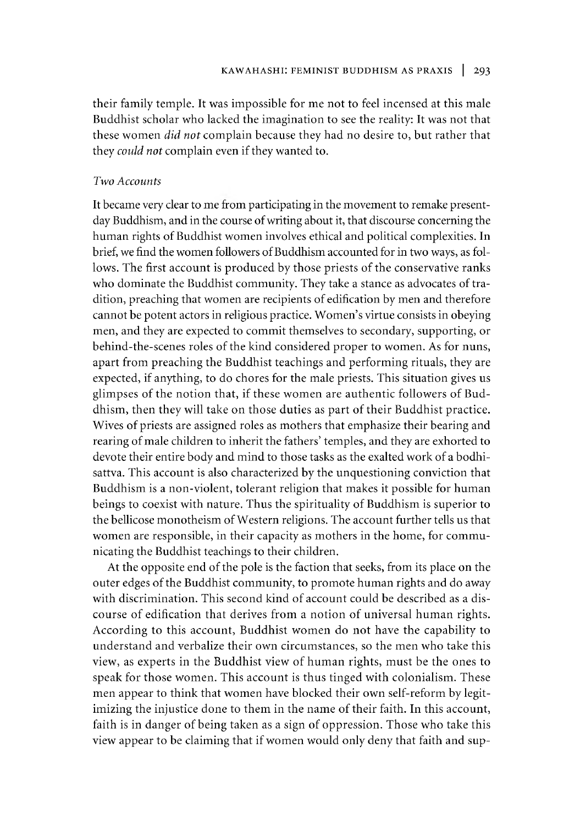their family temple. It was impossible for me not to feel incensed at this male Buddhist scholar who lacked the imagination to see the reality: It was not that these women *did not* complain because they had no desire to, but rather that they *could not* complain even if they wanted to.

## *Two Accounts*

It became very clear to me from participating in the movement to remake presentday Buddhism, and in the course of writing about it, that discourse concerning the human rights of Buddhist women involves ethical and political complexities. In brief, we find the women followers of Buddhism accounted for in two ways, as follows. The first account is produced by those priests of the conservative ranks who dominate the Buddhist community. They take a stance as advocates of tradition, preaching that women are recipients of edification by men and therefore cannot be potent actors in religious practice. Women's virtue consists in obeying men, and they are expected to commit themselves to secondary, supporting, or behind-the-scenes roles of the kind considered proper to women. As for nuns, apart from preaching the Buddhist teachings and performing rituals, they are expected, if anything, to do chores for the male priests. This situation gives us glimpses of the notion that, if these women are authentic followers of Buddhism, then they will take on those duties as part of their Buddhist practice. Wives of priests are assigned roles as mothers that emphasize their bearing and rearing of male children to inherit the fathers' temples, and they are exhorted to devote their entire body and mind to those tasks as the exalted work of a bodhisattva. This account is also characterized by the unquestioning conviction that Buddhism is a non-violent, tolerant religion that makes it possible for human beings to coexist with nature. Thus the spirituality of Buddhism is superior to the bellicose monotheism of Western religions. The account further tells us that women are responsible, in their capacity as mothers in the home, for communicating the Buddhist teachings to their children.

At the opposite end of the pole is the faction that seeks, from its place on the outer edges of the Buddhist community, to promote human rights and do away with discrimination. This second kind of account could be described as a discourse of edification that derives from a notion of universal human rights. According to this account, Buddhist women do not have the capability to understand and verbalize their own circumstances, so the men who take this view, as experts in the Buddhist view of human rights, must be the ones to speak for those women. This account is thus tinged with colonialism. These men appear to think that women have blocked their own self-reform by legitimizing the injustice done to them in the name of their faith. In this account, faith is in danger of being taken as a sign of oppression. Those who take this view appear to be claiming that if women would only deny that faith and sup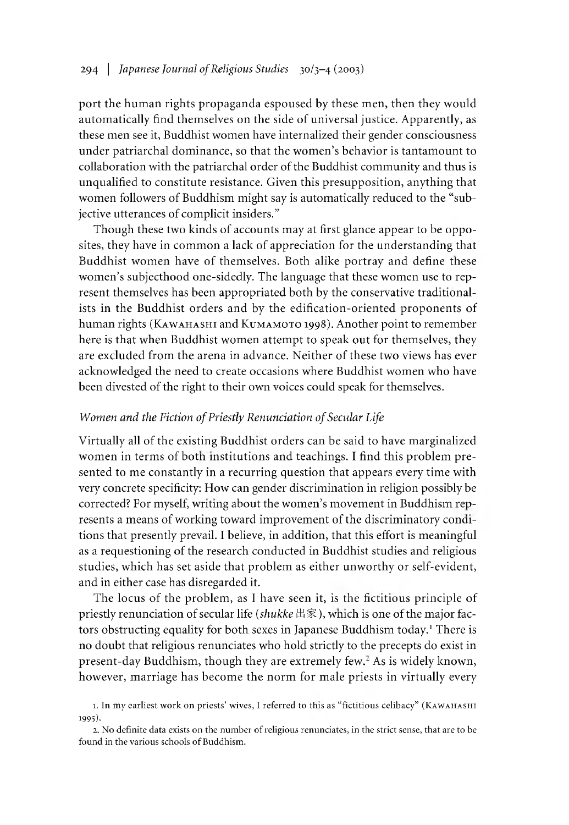port the human rights propaganda espoused by these men, then they would automatically find themselves on the side of universal justice. Apparently, as these men see it, Buddhist women have internalized their gender consciousness under patriarchal dominance, so that the women's behavior is tantamount to collaboration with the patriarchal order of the Buddhist community and thus is unqualified to constitute resistance. Given this presupposition, anything that women followers of Buddhism might say is automatically reduced to the "subjective utterances of complicit insiders."

Though these two kinds of accounts may at first glance appear to be opposites, they have in common a lack of appreciation for the understanding that Buddhist women have of themselves. Both alike portray and define these women's subjecthood one-sidedly. The language that these women use to represent themselves has been appropriated both by the conservative traditionalists in the Buddhist orders and by the edification-oriented proponents of human rights (Каwанаsни and Кимамото 1998). Another point to remember here is that when Buddhist women attempt to speak out for themselves, they are excluded from the arena in advance. Neither of these two views has ever acknowledged the need to create occasions where Buddhist women who have been divested of the right to their own voices could speak for themselves.

#### *Women and the Fiction of Priestly Renunciation of Secular Life*

Virtually all of the existing Buddhist orders can be said to have marginalized women in terms of both institutions and teachings. I find this problem presented to me constantly in a recurring question that appears every time with very concrete specificity: How can gender discrimination in religion possibly be corrected? For myself, writing about the women's movement in Buddhism represents a means of working toward improvement of the discriminatory conaitions that presently prevail.I believe, in addition, that this effort is meaningful as a requestioning of the research conducted in Buddhist studies and religious studies, which has set aside that problem as either unworthy or self-evident, and in either case has disregarded it.

The locus of the problem, as I have seen it, is the fictitious principle of priestly renunciation of secular life (shukke 出家), which is one of the major factors obstructing equality for both sexes in Japanese Buddhism today.1 There is no doubt that religious renunciates who hold strictly to the precepts do exist in present-day Buddhism, though they are extremely few.<sup>2</sup> As is widely known, however, marriage has become the norm for male priests in virtually every

<sup>1.</sup> In my earliest work on priests' wives, I referred to this as "fictitious celibacy" (КАWАНАSHI 1995).

<sup>2.</sup> No definite data exists on the number of religious renunciates, in the strict sense, that are to be found in the various schools of Buddhism.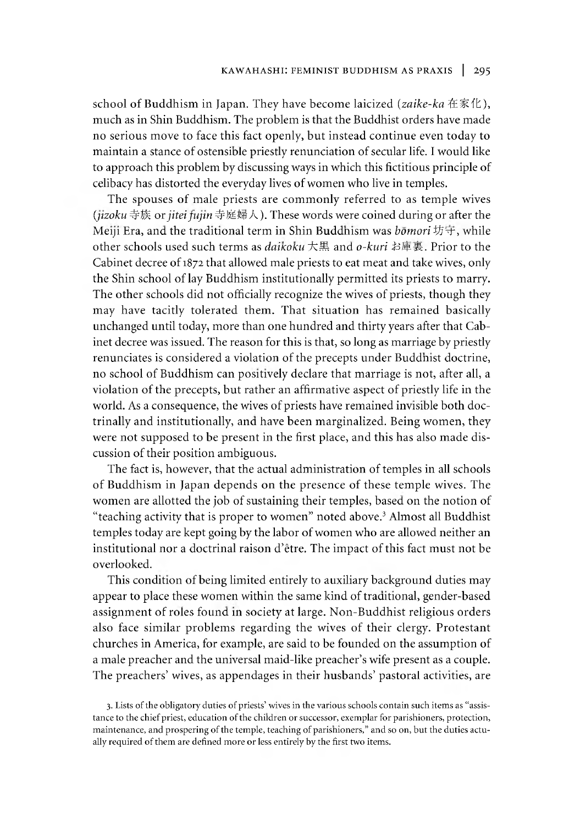school of Buddhism in Japan. They have become laicized *(zaike-ka* 在家化), much as in Shin Buddhism. The problem is that the Buddhist orders have made no serious move to face this fact openly, but instead continue even today to maintain a stance of ostensible priestly renunciation of secular life. I would like to approach this problem by discussing ways in which this fictitious principle of celibacy has distorted the everyday lives of women who live in temples.

The spouses of male priests are commonly referred to as temple wives (*jizoku* 寺族 or *jitei fujin* 寺庭婦人). These words were coined during or after the Meiji Era, and the traditional term in Shin Buddhism was *bōmori* 坊守, while other schools used such terms as *daiKOKu* 大黒 and *o-kuri* ft• . Prior to the Cabinet decree of 1872 that allowed male priests to eat meat and take wives, only the Snin school of lay Buddhism institutionally permitted its priests to marry. The other schools did not officially recognize the wives of priests, though they may have tacitly tolerated them. That situation has remained basically unchanged until today, more than one hundred and thirty years after that Cabinet decree was issued. The reason for this is that, so long as marriage by priestly renunciates is considered a violation of the precepts under Buddnist doctrine, no school of Buddhism can positively declare that marriage is not, after all, a violation of the precepts, but rather an affirmative aspect of priestly life in the world. As a consequence, the wives of priests have remained invisible both doctrinally and institutionally, and have been marginalized. Being women, they were not supposed to be present in the first place, and this has also made discussion of their position ambiguous.

The fact is, however, that the actual administration of temples in all schools of Buddhism in Japan depends on the presence of these temple wives. The women are allotted the job of sustaining their temples, based on the notion of "teaching activity that is proper to women" noted above.<sup>3</sup> Almost all Buddhist temples today are kept going by the labor of women who are allowed neither an institutional nor a doctrinal raison d'être. The impact of this fact must not be overlooked.

This condition of being limited entirely to auxiliary background duties may appear to place these women within the same kind of traditional, gender-based assignment of roles found in society at large. Non-Buddhist religious orders also face similar problems regarding the wives of their clergy. Protestant churches in America, for example, are said to be founded on the assumption of a male preacher and the universal maid-like preacher's wife present as a couple. The preachers' wives, as appendages in their husbands' pastoral activities, are

<sup>3.</sup> Lists of the obligatory duties of priests' wives in the various schools contain such items as "assistance to the chief priest, education of the children or successor, exemplar for parishioners, protection, maintenance, and prospering of the temple, teaching of parisnioners," and so on, but the duties actually required of them are defined more or less entirely by the first two items.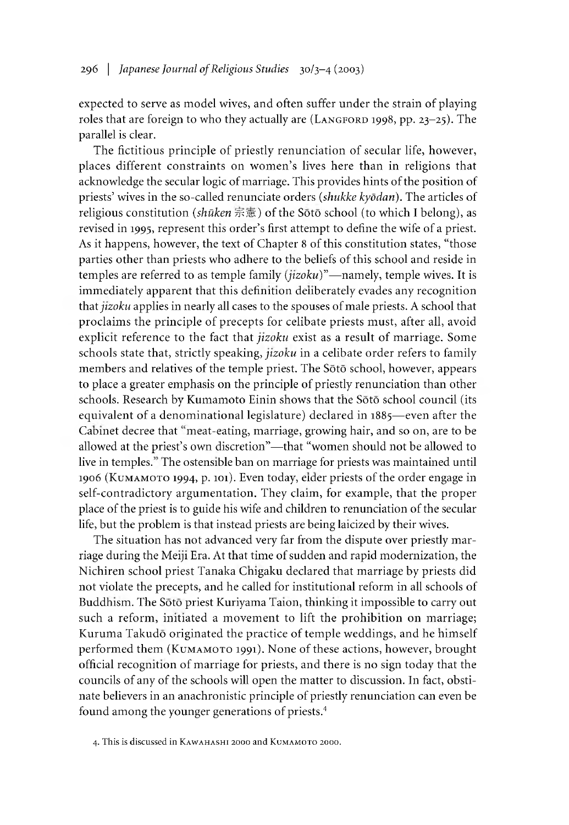expected to serve as model wives, and often suffer under the strain of playing roles that are foreign to who they actually are (LANGFORD 1998, pp.  $23-25$ ). The parallel is clear.

The fictitious principle of priestly renunciation of secular life, however, places different constraints on women's lives here than in religions that acknowledge the secular logic of marriage. This provides hints of the position of priests' wives in the so-called renunciate orders *(shukke kyodan).* The articles of religious constitution *(shaken* 示恵)of the Soto school (to which I belong), as revised in 1995, represent this order's first attempt to define the wife of a priest. As it happens, however, the text of Chapter 8 of this constitution states, "those parties other than priests who adhere to the beliefs of this school and reside in temples are referred to as temple family *izoku)"*— namely, temple wives. It is immediately apparent that this definition deliberately evades any recognition *that jizoku* applies in nearly all cases to the spouses of male priests. A school that proclaims the principle of precepts for celibate priests must, after all, avoid explicit reference to the fact that *jizoku* exist as a result of marriage. Some schools state that, strictly speaking, *jizoku* in a celibate order refers to family members and relatives of the temple priest. The Sōtō school, however, appears to place a greater emphasis on the principle of priestly renunciation than other schools. Research by Kumamoto Einin shows that the Sōtō school council (its equivalent of a denominational legislature) declared in 1885— even after the Cabinet decree that "meat-eating, marriage, growing hair, and so on, are to be allowed at the priest's own discretion"--- that "women should not be allowed to live in temples." The ostensible ban on marriage for priests was maintained until 1906 (КUMAMOTO 1994, p. 101). Even today, elder priests of the order engage in self-contradictory argumentation. They claim, for example, that the proper place of the priest is to guide his wife and children to renunciation of the secular life, but the problem is that instead priests are being laicized by their wives.

The situation has not advanced very far from the dispute over priestly marriage during the Meiji Era. At that time of sudden and rapid modernization, the Nichiren school priest Tanaka Cnigaku declared that marriage by priests did not violate the precepts, and he called for institutional reform in all schools of Buddhism. The Sōtō priest Kuriyama Taion, thinking it impossible to carry out such a reform, initiated a movement to lift the prohibition on marriage; Kuruma Takudō originated the practice of temple weddings, and he himself performed them (Kumamoto 1991). None of these actions, however, brought official recognition of marriage for priests, and there is no sign today that the councils of any of the schools will open the matter to discussion. In fact, obstinate believers in an anachronistic principle of priestly renunciation can even be found among the younger generations of priests.4

<sup>4.</sup> This is discussed in KAWAHASHI 2000 and KUMAMOTO 2000.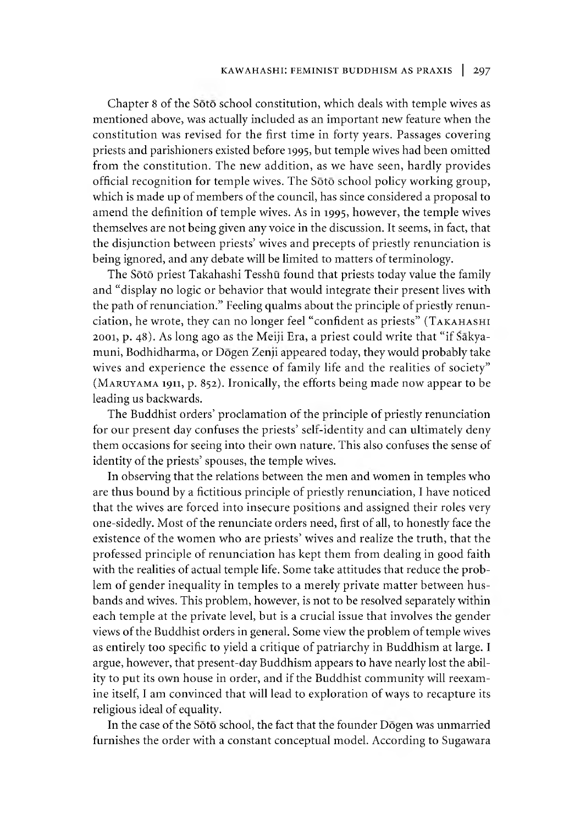Chapter 8 of the Sōtō school constitution, which deals with temple wives as mentioned above, was actually included as an important new feature when the constitution was revised for the first time in forty years. Passages covering priests and parishioners existed before 1995, but temple wives had been omitted from the constitution. The new addition, as we have seen, hardly provides official recognition for temple wives. The Sōtō school policy working group, which is made up of members of the council, has since considered a proposal to amend the definition of temple wives. As in 1995, however, the temple wives themselves are not being given any voice in the discussion. It seems, in fact, that the disjunction between priests' wives and precepts of priestly renunciation is being ignored, and any debate will be limited to matters of terminology.

The Sōtō priest Takahashi Tesshū found that priests today value the family and "display no logic or behavior that would integrate their present lives with the path of renunciation." Feeling qualms about the principle of priestly renunciation, he wrote, they can no longer feel "confident as priests" (Iakahashi 2001, p. 48). As long ago as the Meiji Era, a priest could write that "if Sakyamuni, Bodhidharma, or Dogen Zenji appeared today, they would probably take wives and experience the essence of family life and the realities of society" (MARUYAMA 1911, p. 852). Ironically, the efforts being made now appear to be leading us backwards.

The Buddhist orders' proclamation of the principle of priestly renunciation for our present day confuses the priests' self-identity and can ultimately deny them occasions for seeing into their own nature. This also confuses the sense of identity of the priests' spouses, the temple wives.

In observing that the relations between the men and women in temples who are thus bound by a fictitious principle of priestly renunciation, I have noticed that the wives are forced into insecure positions and assigned their roles very one-sidedly. Most of the renunciate orders need, first of all, to honestly face the existence of the women who are priests' wives and realize the truth, that the professed principle of renunciation has kept them from dealing in good faith with the realities of actual temple life. Some take attitudes that reduce the problem of gender inequality in temples to a merely private matter between husbands and wives. This problem, however, is not to be resolved separately witnin each temple at the private level, but is a crucial issue that involves the gender views of the Buddhist orders in general. Some view the problem of temple wives as entirely too specific to yield a critique of patriarchy in Buddhism at large. I argue, however, that present-day Buddhism appears to have nearly lost the ability to put its own house in order, and if the Buddhist community will reexamine itself, I am convinced that will lead to exploration of ways to recapture its religious ideal of equality.

In the case of the Sōtō school, the fact that the founder Dōgen was unmarried furnishes the order with a constant conceptual model. According to Sugawara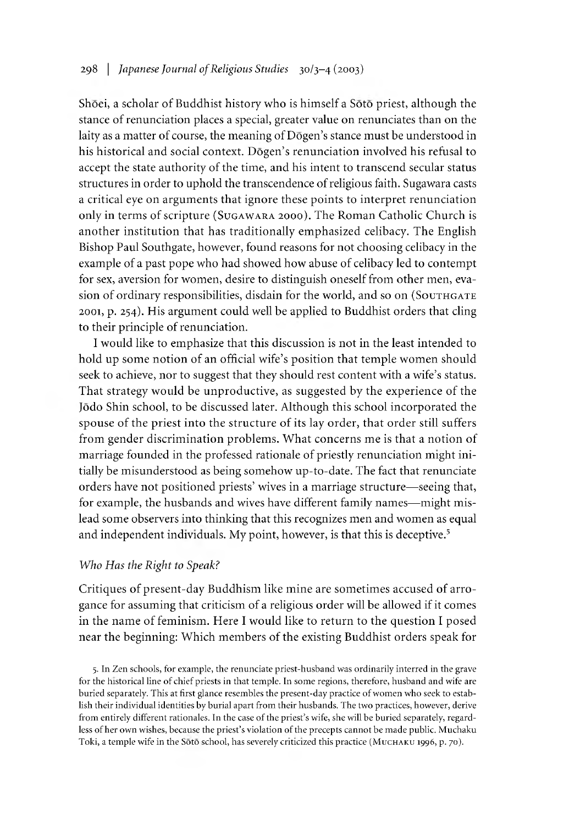Shōei, a scholar of Buddhist history who is himself a Sōtō priest, although the stance of renunciation places a special, greater value on renunciates than on the laity as a matter of course, the meaning of  $D\bar{o}$ gen's stance must be understood in his historical and social context. Dōgen's renunciation involved his refusal to accept the state authority of the time, and his intent to transcend secular status structures in order to uphold the transcendence of religious faith. Sugawara casts a critical eye on arguments that ignore these points to interpret renunciation only in terms of scripture (Sugawara 2000). The Roman Catholic Church is another institution that has traditionally emphasized celibacy. The English Bishop Paul Southgate, however, found reasons for not choosing celibacy in the example of a past pope who had showed how abuse of celibacy led to contempt for sex, aversion for women, desire to distinguish oneself from other men, evasion of ordinary responsibilities, disdain for the world, and so on (Southgate 2001, p. 254). His argument could well be applied to Buddhist orders that cling to their principle of renunciation.

I would like to emphasize that this discussion is not in the least intended to hold up some notion of an official wife's position that temple women should seek to achieve, nor to suggest that they should rest content with a wife's status. That strategy would be unproductive, as suggested by the experience of the Jodo Shin school, to be discussed later. Although this school incorporated the spouse of the priest into the structure of its lay order, that order still suffers from gender discrimination problems. What concerns me is that a notion of marriage founded in the professed rationale of priestly renunciation might initially be misunderstood as being somehow up-to-date. The fact that renunciate orders have not positioned priests' wives in a marriage structure—seeing that, for example, the husbands and wives have different family names—might mislead some observers into thinking that this recognizes men and women as equal and independent individuals. My point, however, is that this is deceptive.<sup>5</sup>

## *Who Has the Right to Speak?*

Critiques of present-day Buddhism like mine are sometimes accused of arrogance for assuming that criticism of a religious order will be allowed if it comes in the name of feminism. Here I would like to return to the question I posed near the beginning: Which members of the existing Buddhist orders speak for

<sup>5.</sup> In Zen schools, for example, the renunciate priest-husband was ordinarily interred in the grave for the historical line of chief priests in that temple. In some regions, therefore, husband and wife are buried separately. This at first glance resembles the present-day practice of women who seek to establish their individual identities by burial apart from their husbands. The two practices, however, derive from entirely different rationales. In the case of the priest's wife, she will be buried separately, regardless of her own wishes, because the priest's violation of the precepts cannot be made public. Muchaku Toki, a temple wife in the Sōtō school, has severely criticized this practice (MUCHAKU 1996, p. 70).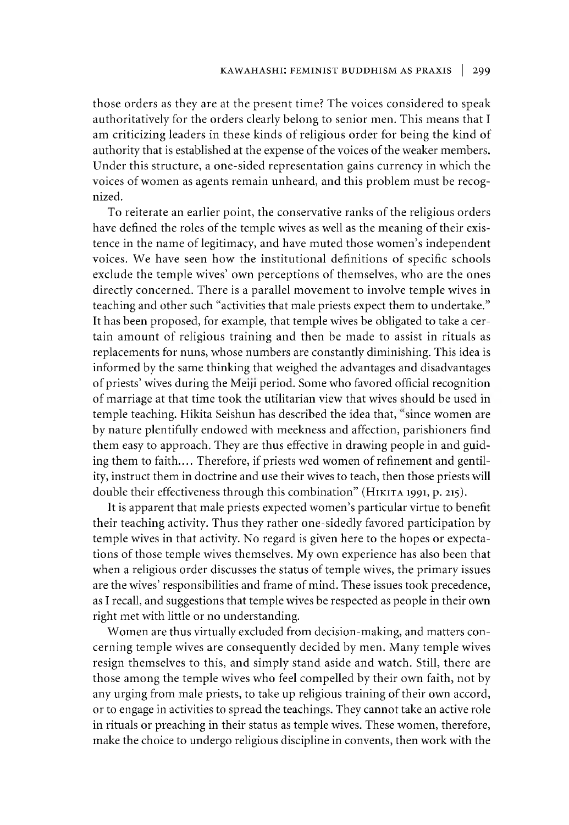those orders as they are at the present time? The voices considered to speak authoritatively for the orders clearly belong to senior men. This means that I am criticizing leaders in these kinds of religious order for being the kind of authority that is established at the expense of the voices of the weaker members. Under this structure, a one-sided representation gains currency in which the voices of women as agents remain unheard, and this problem must be recognized.

To reiterate an earlier point, the conservative ranks of the religious orders have defined the roles of the temple wives as well as the meaning of their existence in the name of legitimacy, and have muted those women's independent voices. We have seen how the institutional definitions of specific schools exclude the temple wives' own perceptions of themselves, who are the ones directly concerned. There is a parallel movement to involve temple wives in teaching and other such "activities that male priests expect them to undertake." It has been proposed, for example, that temple wives be obligated to take a certain amount of religious training and then be made to assist in rituals as replacements for nuns, whose numbers are constantly diminishing. This idea is informed by the same thinking that weighed the advantages and disadvantages of priests' wives during the Meiji period. Some who favored official recognition of marriage at that time took the utilitarian view that wives should be used in temple teaching. Hikita Seishun has described the idea that, "since women are by nature plentifully endowed with meekness and affection, parishioners find them easy to approach. They are thus effective in drawing people in and guiding them to faith.... Therefore, if priests wed women of refinement and gentility, instruct them in doctrine and use their wives to teach, then those priests will double their effectiveness through this combination" (HIKITA 1991, p. 215).

It is apparent that male priests expected women's particular virtue to benefit their teaching activity. Thus they rather one-sidedly favored participation by temple wives in that activity. No regard is given here to the hopes or expectations of those temple wives themselves. My own experience has also been that when a religious order discusses the status of temple wives, the primary issues are the wives' responsibilities and frame of mind. These issues took precedence, as I recall, and suggestions that temple wives be respected as people in their own right met with little or no understanding.

Women are thus virtually excluded from decision-making, and matters concerning temple wives are consequently decided by men. Many temple wives resign themselves to this, and simply stand aside and watch. Still, there are those among the temple wives who feel compelled by their own faith, not by any urging from male priests, to take up religious training of their own accord, or to engage in activities to spread the teachings. They cannot take an active role in rituals or preaching in their status as temple wives. These women, therefore, make the choice to undergo religious discipline in convents, then work with the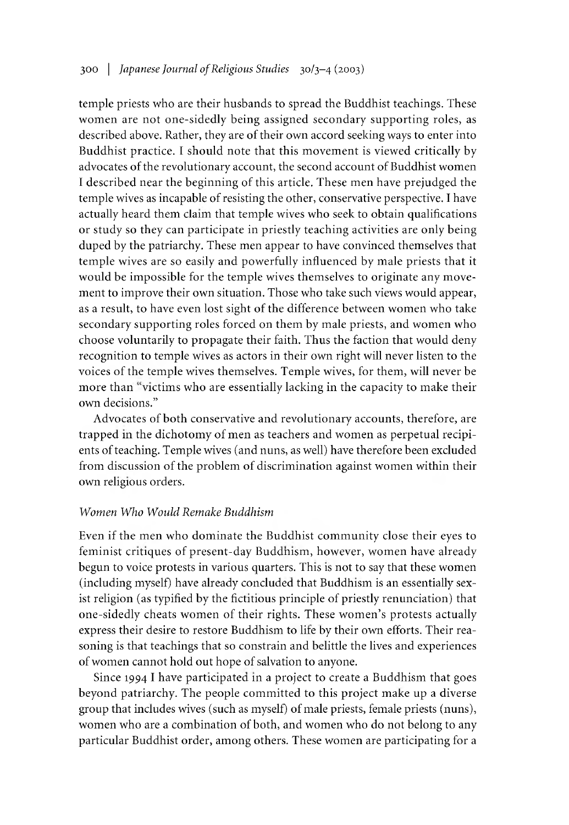temple priests who are their husbands to spread the Buddhist teachings. These women are not one-sidedly being assigned secondary supporting roles, as described above. Rather, they are of their own accord seeking ways to enter into Buddhist practice. I should note that this movement is viewed critically by advocates of the revolutionary account, the second account of Buddhist women I described near the beginning of this article. These men have prejudged the temple wives as incapable of resisting the other, conservative perspective. I have actually heard them claim that temple wives who seek to obtain qualifications or study so they can participate in priestly teaching activities are only being duped by the patriarchy. These men appear to have convinced themselves that temple wives are so easily and powerfully influenced by male priests that it would be impossible for the temple wives themselves to originate any movement to improve their own situation. Those who take such views would appear, as a result, to have even lost sight of the difference between women who take secondary supporting roles forced on them by male priests, and women who choose voluntarily to propagate their faith. Thus the faction that would deny recognition to temple wives as actors in their own right will never listen to the voices of the temple wives themselves. Temple wives, for them, will never be more than "victims who are essentially lacking in the capacity to make their own decisions."

Advocates of both conservative and revolutionary accounts, therefore, are trapped in the dichotomy of men as teachers and women as perpetual recipients of teaching. Temple wives (and nuns, as well) have therefore been excluded from discussion of the problem of discrimination against women within their own religious orders.

## *Women Who Would Remake Buddhism*

Even if the men who dominate the Buddhist community close their eyes to feminist critiques of present-day Buddnism, however, women have already begun to voice protests in various quarters. This is not to say that these women (including myself) have already concluded that Buddhism is an essentially sexist religion (as typified by the fictitious principle of priestly renunciation) that one-sidedly cheats women of their rights. These women's protests actually express their desire to restore Buddhism to lire by their own efforts. Their reasoning is that teachings that so constrain and belittle the lives and experiences of women cannot hold out hope of salvation to anyone.

Since 1994 I have participated in a project to create a Buddhism that goes beyond patriarchy. The people committed to this project make up a diverse group that includes wives (such as myself) of male priests, female priests (nuns), women who are a combination of both, and women who do not belong to any particular Buddhist order, among others. These women are participating for a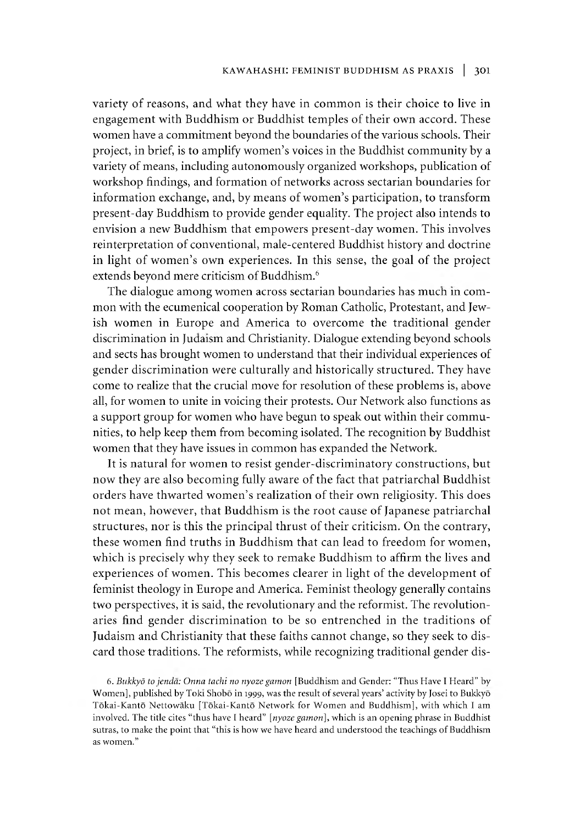variety of reasons, and what they have in common is their choice to live in engagement with Buddhism or Buddhist temples of their own accord. These women have a commitment beyond the boundaries of the various schools. Their project, in brief, is to amplify women's voices in the Buddhist community by a variety of means, including autonomously organized workshops, publication of workshop findings, and formation of networks across sectarian boundaries for information exchange, and, by means of women's participation, to transform present-day Buddhism to provide gender equality. The project also intends to envision a new Buddhism that empowers present-day women. This involves reinterpretation of conventional, male-centered Buddhist history and doctrine in light of women's own experiences. In this sense, the goal of the project extends beyond mere criticism of Buddhism.6

The dialogue among women across sectarian boundaries has much in common with the ecumenical cooperation by Roman Catholic, Protestant, and Jewish women in Europe and America to overcome the traditional gender discrimination in Judaism and Christianity. Dialogue extending beyond schools and sects has brought women to understand that their individual experiences of gender discrimination were culturally and historically structured. They have come to realize that the crucial move for resolution of these problems is, above all, for women to unite in voicing their protests. Our Network also functions as a support group for women who have begun to speak out within their communities, to help keep them from becoming isolated. The recognition by Buddhist women that they have issues in common has expanded the Network.

It is natural for women to resist gender-discriminatory constructions, but now they are also becoming fully aware of the fact that patriarchal Buddhist orders have thwarted women's realization of their own religiosity. This does not mean, however, that Buddhism is the root cause of Japanese patriarchal structures, nor is this the principal thrust of their criticism. On the contrary, these women find truths in Buddhism that can lead to freedom for women, which is precisely why they seek to remake Buddhism to affirm the lives and experiences of women. This becomes clearer in light of the development of feminist theology in Europe and America. Feminist theology generally contains two perspectives, it is said, the revolutionary and the reformist. The revolutionaries find gender discrimination to be so entrenched in the traditions of Judaism and Christianity that these faiths cannot change, so they seek to discard those traditions. The reformists, while recognizing traditional gender dis-

6. *Bukkyd to jenda: Onna tachi no nyoze gamon* [Buddhism and Gender: "Thus Have I Heard" by Women], published by Toki Shobō in 1999, was the result of several years' activity by Josei to Bukkyō Tokai-Kanto Nettowaku [Tokai-Kanto Network for Women and Buddhism], with which I am involved. The title cites "thus have I heard" *[nyozegamon],* which is an opening phrase in Buddhist sutras, to make the point that "this is how we have heard and understood the teachings of Buddhism as women."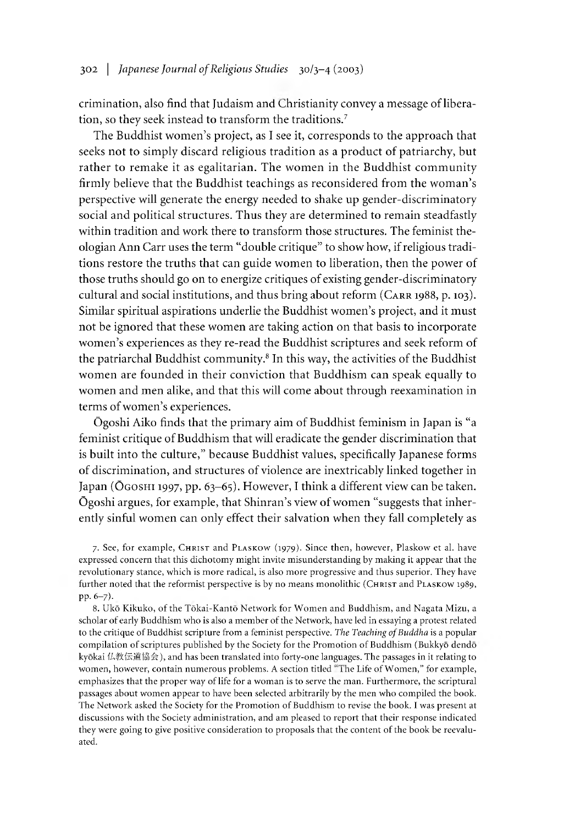crimination, also find that Judaism and Christianity convey a message of liberation, so they seek instead to transform the traditions.7

The Buddhist women's project, as I see it, corresponds to the approach that seeks not to simply discard religious tradition as a product of patriarchy, but rather to remake it as egalitarian. The women in the Buddhist community firmly believe that the Buddhist teachings as reconsidered from the woman's perspective will generate the energy needed to shake up gender-discriminatory social and political structures. Thus they are determined to remain steadfastly within tradition and work there to transform those structures. The feminist theologian Ann Carr uses the term "double critique" to show how, if religious traditions restore the truths that can guide women to liberation, then the power of those truths should go on to energize critiques of existing gender-discriminatory cultural and social institutions, and thus bring about reform (CARR 1988, p. 103). Similar spiritual aspirations underlie the Buddhist women's project, and it must not be ignored that these women are taking action on that basis to incorporate women's experiences as they re-read the Buddhist scriptures and seek reform of the patriarchal Buddhist community.8 In this way, the activities of the Buddhist women are founded in their conviction that Buddhism can speak equally to women and men alike, and that this will come about through reexamination in terms of women's experiences.

Ogoshi Aiko finds that the primary aim of Buddhist feminism in Japan is "a feminist critique of Buddhism that will eradicate the gender discrimination that is built into the culture," because Buddhist values, specifically Japanese forms of discrimination, and structures of violence are inextricably linked together in Japan ( $\overline{O}$ GOSHI 1997, pp. 63–65). However, I think a different view can be taken. Ogoshi argues, for example, that Shinran's view of women "suggests that inherently sinful women can only effect their salvation when they fall completely as

7. See, for example, CHRIST and PLASKOW (1979). Since then, however, Plaskow et al. have expressed concern that this dichotomy might invite misunderstanding by making it appear that the revolutionary stance, which is more radical, is also more progressive and thus superior. They have further noted that the reformist perspective is by no means monolithic (CHRIST and PLASKOW 1989,  $pp. 6-7$ ).

8. Uko Kikuko, of the Tokai-Kanto Network for Women and Buddhism, and Nagata Mizu, a scholar of early Buddhism who is also a member of the Network, have led in essaying a protest related to the critique of Buddhist scripture from a feminist perspective. *The Teaching of Buddha* is a popular compilation of scriptures published by the Society for the Promotion of Buddhism (Bukkyo dendo kyōkai 仏教伝道協会), and has been translated into forty-one languages. The passages in it relating to women, however, contain numerous problems. A section titled "The Life of Women," for example, emphasizes that the proper way of life for a woman is to serve the man. Furthermore, the scriptural passages about women appear to have been selected arbitrarily by the men who compiled the book. The Network asked the Society for the Promotion of Buddhism to revise the book. I was present at discussions with the Society administration, and am pleased to report that their response indicated they were going to give positive consideration to proposals that the content of the book be reevaluated.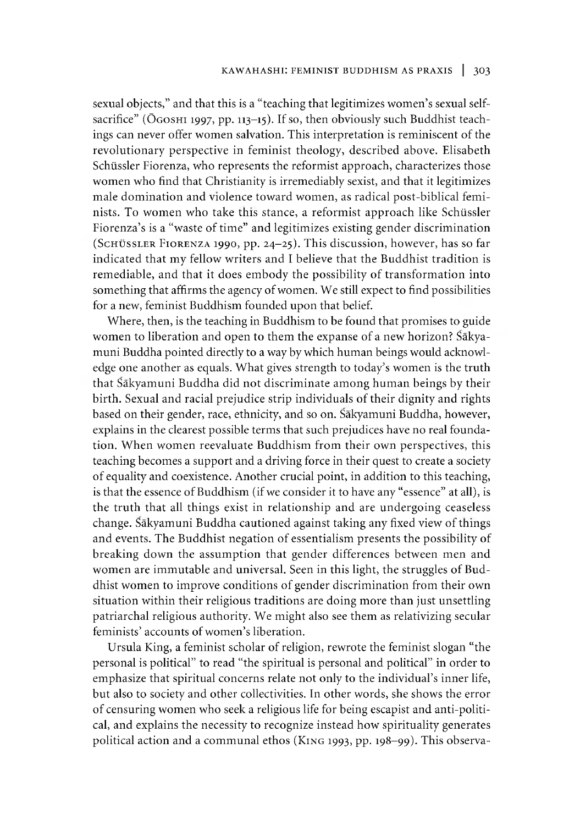sexual objects," and that this is a "teaching that legitimizes women's sexual selfsacrifice" ( $\bar{O}$ GOSHI 1997, pp. 113-15). If so, then obviously such Buddhist teachings can never offer women salvation. This interpretation is reminiscent of the revolutionary perspective in feminist theology, described above. Elisabeth Schiissler Fiorenza, who represents the reformist approach, characterizes those women who find that Christianity is irremediably sexist, and that it legitimizes male domination and violence toward women, as radical post-biblical feminists. To women who take this stance, a reformist approach like Schiissler Fiorenza's is a "waste of time" and legitimizes existing gender discrimination (SCHÜSSLER FIORENZA 1990, pp. 24-25). This discussion, however, has so far indicated that my fellow writers and I believe that the Buddhist tradition is remediable, and that it does embody the possibility of transformation into something that affirms the agency of women. We still expect to find possibilities for a new, feminist Buddhism founded upon that belief.

Where, then, is the teaching in Buddhism to be found that promises to guide women to liberation and open to them the expanse of a new horizon? Sakyamuni Buddha pointed directly to a way by which human beings would acknowledge one another as equals. What gives strength to today's women is the truth that Sakyamuni Buddha did not discriminate among human beings by their birth. Sexual and racial prejudice strip individuals of their dignity and rights based on their gender, race, ethnicity, and so on. Sakyamuni Buddha, however, explains in the clearest possible terms that such prejudices have no real foundation. When women reevaluate Buddhism from their own perspectives, this teaching becomes a support and a driving force in their quest to create a society of equality and coexistence. Another crucial point, in addition to this teaching, is that the essence of Buddhism (if we consider it to have any "essence" at all), is the truth that all things exist in relationship and are undergoing ceaseless change. Sakyamuni Buddha cautioned against taking any fixed view of things and events. The Buddhist negation of essentialism presents the possibility of breaking down the assumption that gender differences between men and women are immutable and universal. Seen in this light, the struggles of Buddhist women to improve conditions of gender discrimination from their own situation within their religious traditions are doing more than just unsettling patriarchal religious authority. We might also see them as relativizing secular feminists' accounts of women's liberation.

Ursula King, a feminist scholar of religion, rewrote the feminist slogan "the personal is political" to read "the spiritual is personal and political" in order to emphasize that spiritual concerns relate not only to the individual's inner life, but also to society and other collectivities. In other words, she shows the error of censuring women who seek a religious life for being escapist and anti-political, and explains the necessity to recognize instead how spirituality generates political action and a communal ethos (KING 1993, pp. 198-99). This observa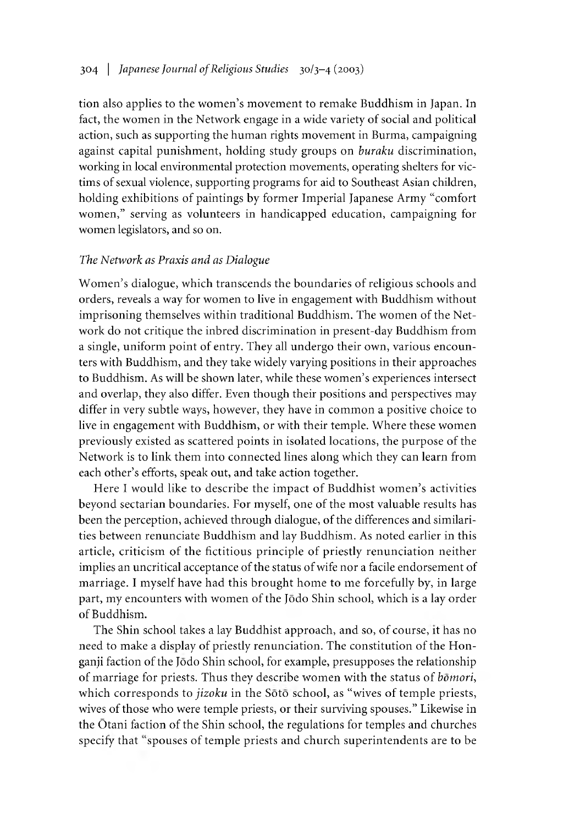tion also applies to the women's movement to remake Buddhism in Japan. In fact, the women in the Network engage in a wide variety of social and political action, such as supporting the human rights movement in Burma, campaigning against capital punishment, holding study groups on *buraku* discrimination, working in local environmental protection movements, operating shelters for victims of sexual violence, supporting programs for aid to Southeast Asian children, holding exhibitions of paintings by former Imperial Japanese Army "comfort women," serving as volunteers in handicapped education, campaigning for women legislators, and so on.

# *The Network as Praxis and as Dialogue*

Women's dialogue, which transcends the boundaries of religious schools and orders, reveals a way for women to live in engagement with Buddhism without imprisoning themselves within traditional Buddhism. The women of the Network do not critique the inbred discrimination in present-day Buddhism from a single, uniform point of entry. They all undergo their own, various encounters with Buddhism, and they take widely varying positions in their approaches to Buddhism. As will be shown later, while these women's experiences intersect and overlap, they also differ. Even though their positions and perspectives may differ in very subtle ways, however, they have in common a positive choice to live in engagement with Buddhism, or with their temple. Where these women previously existed as scattered points in isolated locations, the purpose of the Network is to link them into connected lines along which they can learn from each other's efforts, speak out, and take action together.

Here I would like to describe the impact of Buddhist women's activities beyond sectarian boundaries. For myself, one of the most valuable results has been the perception, achieved through dialogue, of the differences and similarities between renunciate Buddhism and lay Buddhism. As noted earlier in this article, criticism of the fictitious principle of priestly renunciation neither implies an uncritical acceptance of the status of wife nor a facile endorsement of marriage. I myself have had this brought home to me forcefully by, in large part, my encounters with women of the Jodo Shin school, which is a lay order of Buddhism.

The Shin school takes a lay Buddhist approach, and so, of course, it has no need to make a display of priestly renunciation. The constitution of the Honganji faction of the Jodo Shin school, for example, presupposes the relationship of marriage for priests. Thus they describe women with the status of *bomori,* which corresponds to *jizoku* in the Sōtō school, as "wives of temple priests, wives of those who were temple priests, or their surviving spouses." Likewise in the Otani faction of the Shin school, the regulations for temples and churches specify that "spouses of temple priests and church superintendents are to be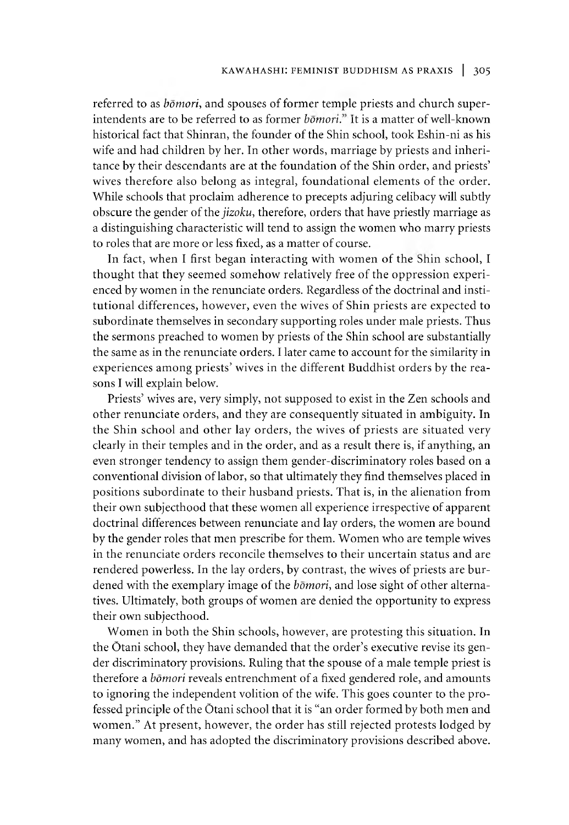referred to as *bomori,* and spouses of former temple priests and church superintendents are to be referred to as former *bomori*." It is a matter of well-known historical fact that Shinran, the founder of the Shin school, took Eshin-ni as his wife and had children by her. In other words, marriage by priests and inheritance by their descendants are at the foundation of the Shin order, and priests' wives therefore also belong as integral, foundational elements of the order. While schools that proclaim adherence to precepts adjuring celibacy will subtly obscure the gender of the *jizoku,* therefore, orders that have priestly marriage as a distinguishing characteristic will tend to assign the women who marry priests to roles that are more or less fixed, as a matter of course.

In fact, when I first began interacting with women of the Shin school, I thought that they seemed somehow relatively free of the oppression experienced by women in the renunciate orders. Regardless of the doctrinal and institutional differences, however, even the wives of Shin priests are expected to subordinate themselves in secondary supporting roles under male priests. Thus the sermons preached to women by priests of the Shin school are substantially the same as in the renunciate orders. I later came to account for the similarity in experiences among priests' wives in the different Buddhist orders by the reasons I will explain below.

Priests' wives are, very simply, not supposed to exist in the Zen schools and other renunciate orders, and they are consequently situated in ambiguity. In the Shin school and other lay orders, the wives of priests are situated very clearly in their temples and in the order, and as a result there is, if anything, an even stronger tendency to assign them gender-discriminatory roles based on a conventional division of labor, so that ultimately they find themselves placed in positions subordinate to their husband priests. That is, in the alienation from their own subjecthood that these women all experience irrespective of apparent doctrinal differences between renunciate and lay orders, the women are bound by the gender roles that men prescribe for them. Women who are temple wives in the renunciate orders reconcile themselves to their uncertain status and are rendered powerless. In the lay orders, by contrast, the wives of priests are burdened with the exemplary image of the *bomori,* and lose sight of other alternatives. Ultimately, both groups of women are denied the opportunity to express their own subjecthood.

Women in both the Shin schools, however, are protesting this situation. In the Otani school, they have demanded that the order's executive revise its gender discriminatory provisions. Ruling that the spouse of a male temple priest is therefore a *bomori* reveals entrenchment of a fixed gendered role, and amounts to ignoring the independent volition of the wife. This goes counter to the professed principle of the Otani school that it is "an order formed by both men and women." At present, however, the order has still rejected protests lodged by many women, and has adopted the discriminatory provisions described above.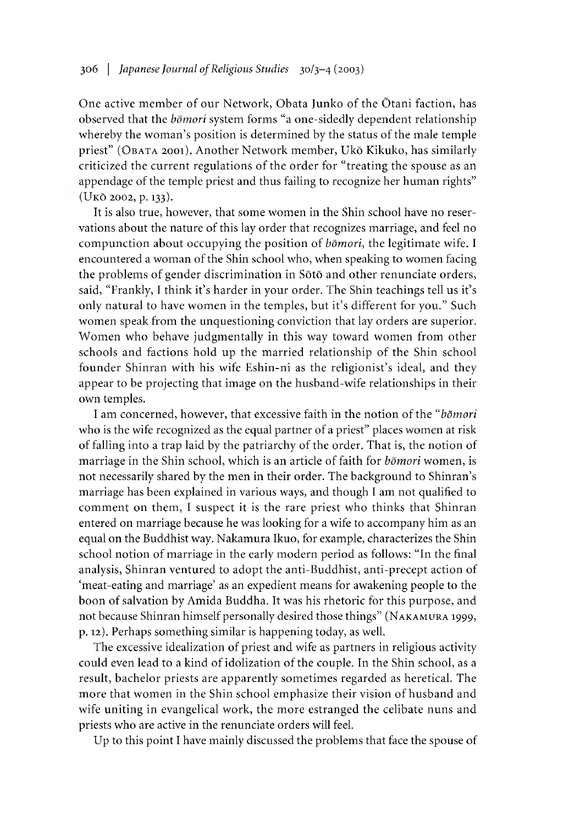One active member of our Network, Obata Junko of the Otani faction, has observed that the *bomori* system forms "a one-sidedly dependent relationship whereby the woman's position is determined by the status of the male temple priest" (Obata 2001). Another Network member, Uko Kikuko, has similarly criticized the current regulations of the order for "treating the spouse as an appendage of the temple priest and thus failing to recognize her human rights" (Uko 2002, p. 133).

It is also true, however, that some women in the Shin school have no reservations about the nature of this lay order that recognizes marriage, and feel no compunction about occupying the position of *bomori,* the legitimate wife. I encountered a woman of the Shin school who, when speaking to women facing the problems of gender discrimination in Soto and other renunciate orders, said, "Frankly, I think it's harder in your order. The Shin teachings tell us it's only natural to have women in the temples, but it's different for you." Such women speak from the unquestioning conviction that lay orders are superior. Women who behave judgmentally in this way toward women from other schools and factions hold up the married relationship of the Shin school founder Shinran with his wife Eshin-ni as the religionist's ideal, and they appear to be projecting that image on the husband-wife relationships in their own temples.

I am concerned, however, that excessive faith in the notion of the "*bōmori* who is the wife recognized as the equal partner of a priest" places women at risk of falling into a trap laid by the patriarchy of the order. That is, the notion of marriage in the Shin school, which is an article of faith for *bomori* women, is not necessarily shared by the men in their order. The background to Shinran's marriage has been explained in various ways, and though I am not qualified to comment on them, I suspect it is the rare priest who thinks that Shinran entered on marriage because he was looking for a wife to accompany him as an equal on the Buddhist way. Nakamura Ikuo, for example, characterizes the Shin school notion of marriage in the early modern period as follows: "In the final analysis, Shinran ventured to adopt the anti-Buddhist, anti-precept action of 'meat-eating and marriage' as an expedient means for awakening people to the boon of salvation by Amida Buddha. It was his rhetoric for this purpose, and not because Shinran himself personally desired those things" (Nakamura 1999, p. 12). Perhaps something similar is happening today, as well.

The excessive idealization of priest and wife as partners in religious activity could even lead to a kind of idolization of the couple. In the Shin school, as a result, bachelor priests are apparently sometimes regarded as heretical. The more that women in the Shin school emphasize their vision of husband and wife uniting in evangelical work, the more estranged the celibate nuns and priests who are active in the renunciate orders will feel.

Up to this point I have mainly discussed the problems that face the spouse of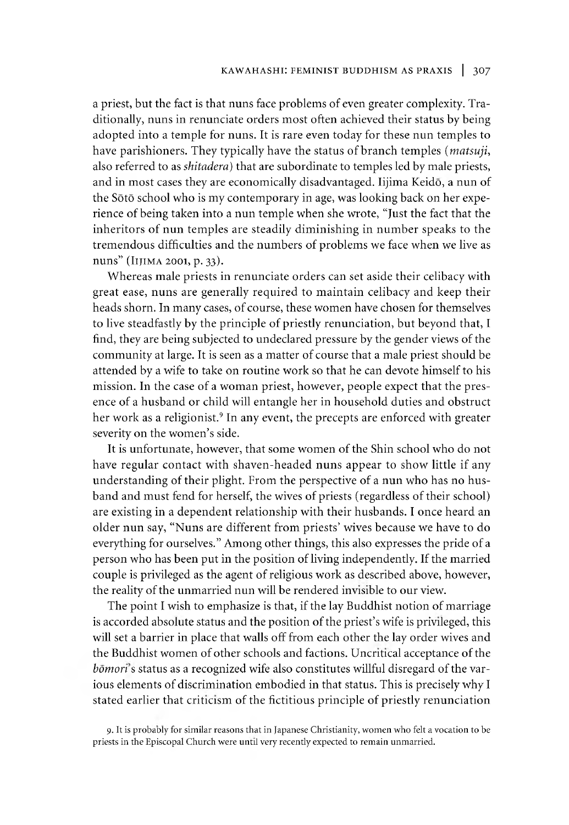a priest, but the fact is that nuns face problems of even greater complexity. Traditionally, nuns in renunciate orders most often achieved their status by being adopted into a temple for nuns. It is rare even today for these nun temples to have parishioners. They typically have the status of branch temples *(matsuji,* also referred to as *shitadera)* that are subordinate to temples led by male priests, and in most cases they are economically disadvantaged. Iijima Keido, a nun of the Sōtō school who is my contemporary in age, was looking back on her experience of being taken into a nun temple when she wrote, "Just the fact that the inheritors of nun temples are steadily diminishing in number speaks to the tremendous difficulties and the numbers of problems we face when we live as nuns" (IIJIMA 2001, p. 33).

Whereas male priests in renunciate orders can set aside their celibacy with great ease, nuns are generally required to maintain celibacy and keep their heads shorn. In many cases, of course, these women have chosen for themselves to live steadfastly by the principle of priestly renunciation, but beyond that, I find, they are being subjected to undeclared pressure by the gender views of the community at large. It is seen as a matter of course that a male priest should be attended by a wife to take on routine work so that he can devote himself to his mission. In the case of a woman priest, however, people expect that the presence of a husband or child will entangle her in household duties and obstruct her work as a religionist.<sup>9</sup> In any event, the precepts are enforced with greater severity on the women's side.

It is unfortunate, however, that some women of the Shin school who do not have regular contact with shaven-headed nuns appear to show little if any understanding of their plight. From the perspective of a nun who has no husband and must fend for herself, the wives of priests (regardless of their school) are existing in a dependent relationship with their husbands. I once heard an older nun say, "Nuns are different from priests' wives because we have to do everything for ourselves." Among other things, this also expresses the pride of a person who has been put in the position of living independently. If the married couple is privileged as the agent of religious work as described above, however, the reality of the unmarried nun will be rendered invisible to our view.

The point I wish to emphasize is that, if the lay Buddhist notion of marriage is accorded absolute status and the position of the priest's wife is privileged, this will set a barrier in place that walls off from each other the lay order wives and the Buddhist women of other schools and factions. Uncritical acceptance of the bomori's status as a recognized wife also constitutes willful disregard of the various elements of discrimination embodied in that status. This is precisely why I stated earlier that criticism of the fictitious principle of priestly renunciation

9. It is probaoly for similar reasons that in Japanese Christianity, women who felt a vocation to be priests in the Episcopal Church were until very recently expected to remain unmarried.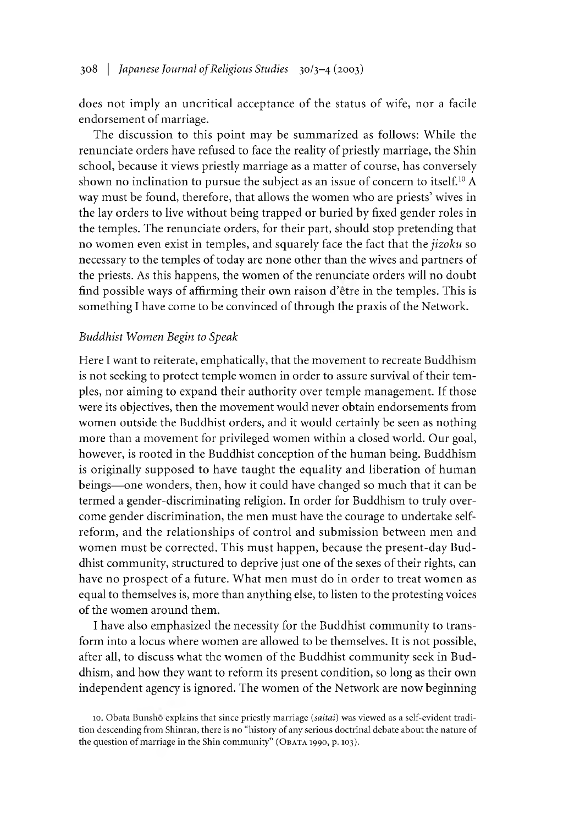does not imply an uncritical acceptance of the status of wife, nor a facile endorsement of marriage.

The discussion to this point may be summarized as follows: While the renunciate orders have refused to face the reality of priestly marriage, the Shin school, because it views priestly marriage as a matter of course, has conversely shown no inclination to pursue the subject as an issue of concern to itself.<sup>10</sup> A way must be found, therefore, that allows the women who are priests' wives in the lay orders to live without being trapped or buried by fixed gender roles in the temples. The renunciate orders, for their part, should stop pretending that no women even exist in temples, and squarely face the fact that the *jizoku* so necessary to the temples of today are none other than the wives and partners of the priests. As this happens, the women of the renunciate orders will no doubt find possible ways of affirming their own raison d'être in the temples. This is something I have come to be convinced of through the praxis of the Network.

#### *Buddhist Women Begin to Speak*

Here I want to reiterate, emphatically, that the movement to recreate Buddhism is not seeking to protect temple women in order to assure survival of their temples, nor aiming to expand their authority over temple management. If those were its objectives, then the movement would never obtain endorsements from women outside the Buddhist orders, and it would certainly be seen as nothing more than a movement for privileged women within a closed world. Our goal, however, is rooted in the Buddhist conception of the human being. Buddhism is originally supposed to have taught the equality and liberation of human beings— one wonders, then, how it could have changed so much that it can be termed a gender-discriminating religion. In order for Buddhism to truly overcome gender discrimination, the men must have the courage to undertake selfreform, and the relationships of control and submission between men and women must be corrected. This must happen, because the present-day Buddhist community, structured to deprive just one of the sexes of their rights, can have no prospect of a future. What men must do in order to treat women as equal to themselves is, more than anything else, to listen to the protesting voices of the women around them.

I have also emphasized the necessity for the Buddhist community to transform into a locus where women are allowed to be themselves. It is not possible, after all, to discuss what the women of the Buddhist community seek in Buddhism, and how they want to reform its present condition, so long as their own independent agency is ignored. The women of the Network are now beginning

<sup>10.</sup> Obata Bunsho explains that since priestly marriage *{saitai)* was viewed as a self-evident tradition descending from Shinran, there is no "history of any serious doctrinal debate about the nature of the question of marriage in the Shin community" (OBATA 1990, p. 103).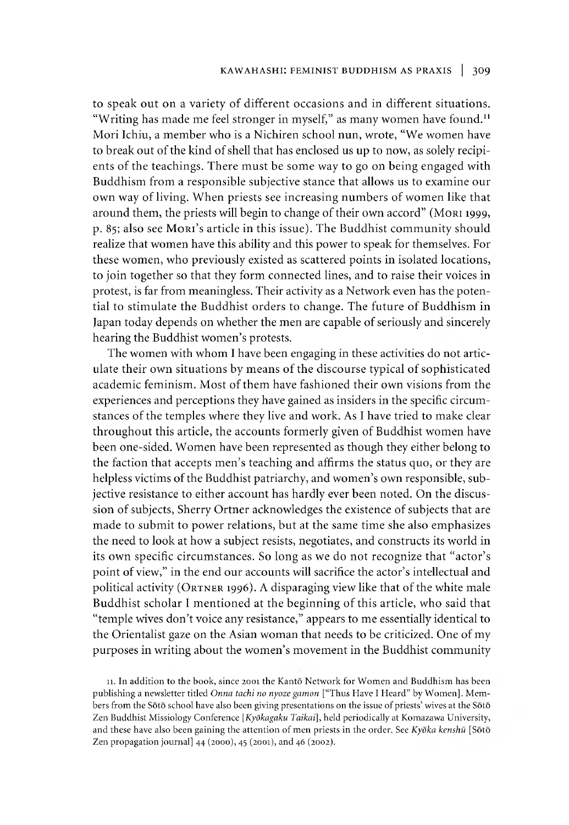to speak out on a variety of different occasions and in different situations. "Writing has made me feel stronger in myself," as many women have found.<sup>11</sup> Mori Ichiu, a member who is a Nichiren school nun, wrote, "We women have to break out of the kind of shell that has enclosed us up to now, as solely recipients of the teachings. There must be some way to go on being engaged with Buddhism from a responsible subjective stance that allows us to examine our own way of living. When priests see increasing numbers of women like that around them, the priests will begin to change of their own accord" (Mori 1999, p. 85; also see MORI's article in this issue). The Buddhist community should realize that women have this ability and this power to speak for themselves. For these women, who previously existed as scattered points in isolated locations, to join together so that they form connected lines, and to raise their voices in protest, is far from meaningless. Their activity as a Network even has the potential to stimulate the Buddhist orders to change. The future of Buddhism in Japan today depends on whether the men are capable of seriously and sincerely hearing the Buddhist women's protests.

The women with whom I have been engaging in these activities do not articulate their own situations by means of the discourse typical of sophisticated academic feminism. Most of them have fashioned their own visions from the experiences and perceptions they have gained as insiders in the specific circumstances of the temples where they live and work. As I have tried to make clear throughout this article, the accounts formerly given of Buddhist women have been one-sided. Women have been represented as though they either belong to the faction that accepts men's teaching and affirms the status quo, or they are helpless victims of the Buddhist patriarchy, and women's own responsible, subjective resistance to either account has hardly ever been noted. On the discussion of subjects, Sherry Ortner acknowledges the existence of subjects that are made to submit to power relations, but at the same time she also emphasizes the need to look at how a subject resists, negotiates, and constructs its world in its own specific circumstances. So long as we do not recognize that "actor's point of view," in the end our accounts will sacrifice the actor's intellectual and political activity (ORTNER 1996). A disparaging view like that of the white male Buddhist scholar I mentioned at the beginning of this article, who said that "temple wives don't voice any resistance," appears to me essentially identical to the Orientalist gaze on the Asian woman that needs to be criticized. One of my purposes in writing about the women's movement in the Buddhist community

11.In addition to the book, since 2001 the Kanto Network for Women and Buddhism has been publishing a newsletter titled *Onna tachi no nyoze gamon* ["Thus Have I Heard" by Women]. Members from the Soto school have also been giving presentations on the issue of priests' wives at the Soto Zen Buddhist Missiology Conference *[Kydkagaku Taikai],* held periodically at Komazawa University, and these have also been gaining the attention of men priests in the order. See *Kyoka kenshu* [Soto Zen propagation journal] 44 (2000), 45 (2001), and 46 (2002).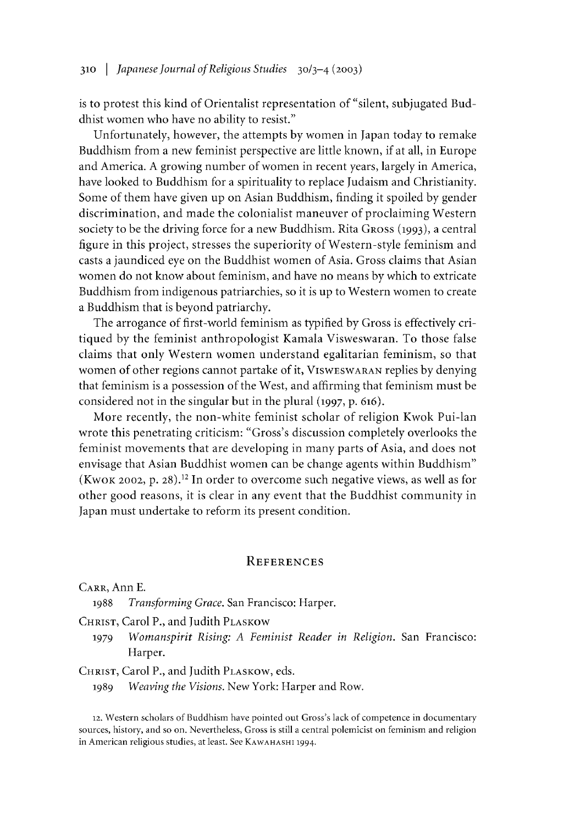is to protest this kind of Orientalist representation of "silent, subjugated Buddhist women who have no ability to resist."

Unfortunately, however, the attempts by women in Japan today to remake Buddhism from a new feminist perspective are little known, if at all, in Europe and America. A growing number of women in recent years, largely in America, have looked to Buddhism for a spirituality to replace Judaism and Christianity. Some of them have given up on Asian Buddhism, finding it spoiled by gender discrimination, and made the colonialist maneuver of proclaiming Western society to be the driving force for a new Buddhism. Rita Gross (1993), a central figure in this project, stresses the superiority of Western-style feminism and casts a jaundiced eye on the Buddhist women of Asia. Gross claims that Asian women do not know about feminism, and have no means by which to extricate Buddhism from indigenous patriarchies, so it is up to Western women to create a Buddhism that is beyond patriarchy.

The arrogance of first-world feminism as typified by Gross is effectively critiqued by the feminist anthropologist Kamala Visweswaran. To those false claims that only Western women understand egalitarian feminism, so that women of other regions cannot partake of it, Visweswaran replies by denying that feminism is a possession of the West, and affirming that feminism must be considered not in the singular but in the plural (1997, p. 616).

More recently, the non-white feminist scholar of religion Kwok Pui-lan wrote this penetrating criticism: "Gross's discussion completely overlooks the feminist movements that are developing in many parts of Asia, and does not envisage that Asian Buddhist women can be change agents within Buddhism" (Kwok 2002, p. 28).<sup>12</sup> In order to overcome such negative views, as well as for other good reasons, it is clear in any event that the Buddhist community in Japan must undertake to reform its present condition.

#### REFERENCES

Carr, Ann E.

1988 *Transforming Grace.* San Francisco: Harper.

CHRIST, Carol P., and Judith PLASKOW

1979 *Womanspirit Rising: A Feminist Reader in Religion.* San Francisco: Harper.

CHRIST, Carol P., and Judith PLASKOW, eds.

1989 *Weaving the Visions.* New York: Harper and Row.

12. Western scholars of Buddhism have pointed out Gross's lack of competence in documentary sources, history, and so on. Nevertheless, Gross is still a central polemicist on feminism and religion in American religious studies, at least. See KAWAHASHI 1994.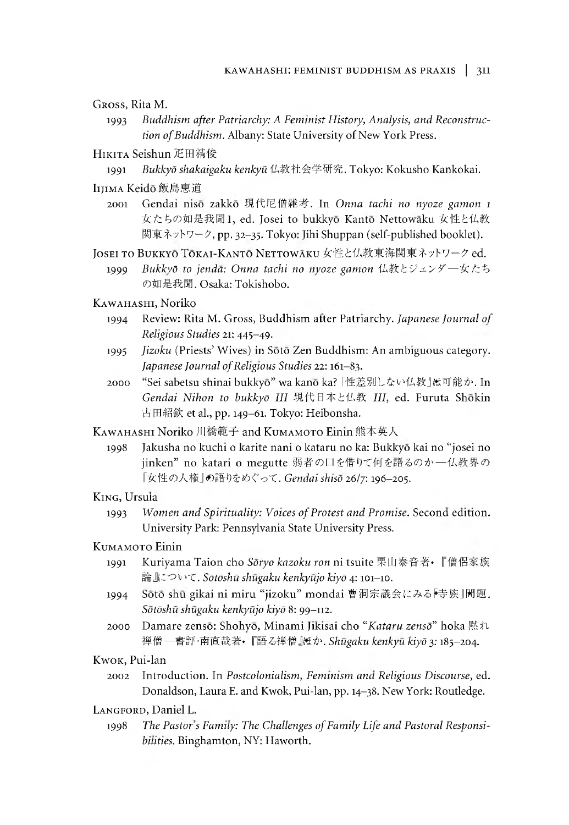## Gross, Rita *M.*

- 1993 *Buddhism after Patriarchy: A Feminist History, Analysis, and Reconstruction of Buddhism.* Albany: State University of New York Press.
- Hikita Seishun 疋田精俊
	- 1991 *Bukkyd shakaigaku kenkyvi* 仏教社会学研究. Tokyo: Kokusho Kankokai.
- Iijima Keido飯島恵道
	- 2001 Gendai niso zakko 現代尼僧雑考. In *Onna tachi no nyoze gamon 1* 女たちの如是我聞1, ed. Josei to bukkyō Kantō Nettowāku 女性と仏教 関東ネットワーク,pp. 32-35. Tokyo: Jihi Shuppan (self-published booklet).
- JOSEI TO BUKKYŌ TŌKAI-KANTŌ NETTOWĀKU 女性と仏教東海関東ネットワーク ed. 1999 *Bukkvd to jenda: Onna tachi no nvoze gamon* 仏教とジェンダ— 女たち の如是我聞. Osaka: Tokishobo.

#### Kawahashi, Noriko

- 1994 Review: Rita M. Gross, Buddhism atter Patriarchy. *Japanese Journal of Religious Studies* 21:445-49.
- 1995 *Jizoku* (Priests' Wives) in Sōtō Zen Buddhism: An ambiguous category. *Japanese Journal of Religious Studies* 22:161-83.
- 2000 "Sei sabetsu shinai bukkyō" wa kanō ka?「性差別しない仏教」は可能か. In *Gendai Nihon to bukkyd III* 現代日本と仏教 *III,* ed. Furuta Shokin 古田紹欽 et al., pp. 149–61. Tokyo: Heibonsha.
- KAWAHASHI Noriko 川橋範子 and KUMAMOTO Einin 熊本英人
	- 1998 Jakusha no kuchi o karite nani o kataru no ka: Bukkyo kai no "josei no jinken" no katari o megutte 弱者の口を借りて何を語るのか一仏教界の 「女性の人権」の語りをめぐって*. Gendai shiso* 26/7 196-205.

#### King, Ursula

1993 *Women and Spirituality: Voices of Protest and Promise. Second edition.* University Park: Pennsylvania State University Press.

#### Kumamoto Einin

- 1991 Kuriyama Taion cho *Soryo kazoku ron* ni tsuite 栗山泰音著♦ 『僧侶豕族 論』について*. Sdtdsha shugaku kenkyujo kiyd 4 :*101-10.
- 1994 Sōtō shū gikai ni miru "jizoku" mondai 曹洞宗議会にみる「寺族」間題. *Sotdshu shugaku kenkyujo kiyd* 8: 99-112.
- 2000 Damare zensō: Shohyō, Minami Jikisai cho "Kataru zensō" hoka 黙れ 禅僧―書評·南直哉著•『語る禅僧』慨か. *Shūgaku kenkyū kiyō* 3: 185–204.

#### Kwok, Pui-lan

2002 Introduction. In *Postcolonialism, Feminism and Religious Discourse,* ed. Donaldson, Laura E. and Kwok, Pui-lan, pp. 14-38. New York: Routledge.

#### Langford, Daniel L.

1998 *The Pastor s Family: The Challenges of Family Life and Pastoral Responsibilities.* Binghamton, NY: Haworth.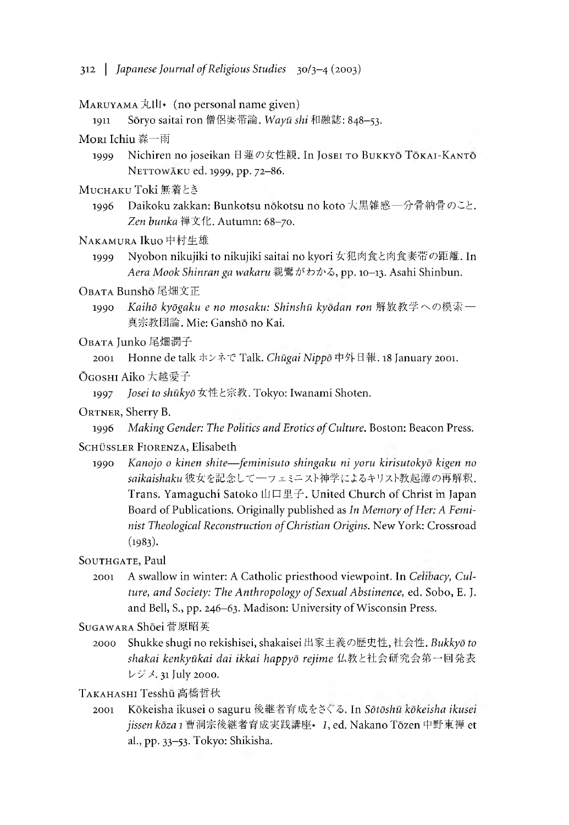$M$ ARUYAMA  $\lambda$ L $||\cdot||$  (no personal name given)

1911 Soryo saitai ron 僧侶妻帯論*. Wayu shi* 和融誌:848-53.

## Mori Ichiu 森一雨

1999 Nichiren no joseikan 日蓮の女性観. In Josei to Bukkyo Tokai-Kanto NETTOWĀKU ed. 1999, pp. 72-86.

- Muchaku Toki無着とき
	- 1996 Daikoku zakkan: Bunkotsu nokotsu no koto 大黒雑感一分骨納骨のこと. *Zen bunka* 禅文化.Autumn: 68-70.
- Nakamura Ikuo中村生雄
	- 1999 Nyobon nikujiki to nikujiki saitai no kyori 女犯肉食と肉食妻帯の距離. In *Aera Mook Shinran ga wakaru* 親鸞がわかる, pp. 10–13. Asahi Shinbun.

#### Obata Bunshō 尾畑文正

1990 Kaihō kyōgaku e no mosaku: Shinshū kyōdan ron 解放教学への模索– 真宗教団論.Mie: Gansho no Kai.

# OBATA Junko 尾畑潤子

2001 Honne de talk ホンネで Talk. *Chūgai Nippō* 中外日報. 18 January 2001.

#### Ogoshi Aiko大越愛子

1997 *Josei to shukyd* 女性と宗教.Tokyo: Iwanami Shoten.

#### ORTNER, Sherry B.

1996 *Making Gender: The Politics and Erotics of Culture.* Boston: Beacon Press.

#### SCHÜSSLER FIORENZA, Elisabeth

1990 *Kano jo 0 kinen shite~feminisuto shingaku ni yoru kinsutokyo ki^en no saikaishaku*彼女を記念して一フヱミニスト神学によるキリスト教起源の再解釈. Trans. Yamaguchi Satoko 山口里子. United Church of Christ in Japan Board of Publications. Originally published as *In Memory of Her: A Feminist Theological Reconstruction of Christian Origins.* New York: Crossroad  $(1983)$ .

## SOUTHGATE, Paul

2001 A swallow in winter: A Catholic priesthood viewpoint. In *Celioacy, Culture, and Society: The Anthropology of Sexual Abstinence,* ed. Sobo, E. J. and Bell, S., pp. 246-63. Madison: University of Wisconsin Press.

# Sugawara Shoei 菅原昭英

2000 Shukke shugi no rekishisei, shakaisei 出家主義の歴史性,社会性*.Bukkyd to shakai kenkyiikai dai ikkai happyd rejime* 仏教と社会研究会第一回発表 レジメ. 3i July 2000.

# Takahashi Tesshu 高橋哲秋

2001 Kōkeisha ikusei o saguru 後継者育成をさぐる. In *Sōtōshū kōkeisha ikusei jissen koza1* 曹洞宗後継者育成実践講座 *1* ed. Nakano Tozen中野東禅et al., pp. 33–53. Tokyo: Shikisha.